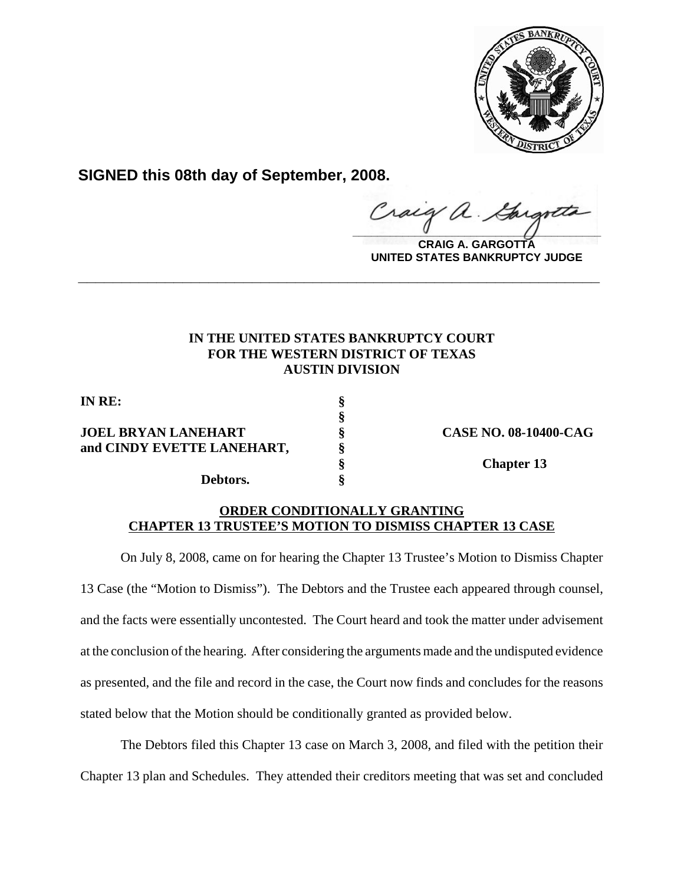

**SIGNED this 08th day of September, 2008.**

Craig a.

**CRAIG A. GARGOTTA UNITED STATES BANKRUPTCY JUDGE**

## **IN THE UNITED STATES BANKRUPTCY COURT FOR THE WESTERN DISTRICT OF TEXAS AUSTIN DIVISION**

**\_\_\_\_\_\_\_\_\_\_\_\_\_\_\_\_\_\_\_\_\_\_\_\_\_\_\_\_\_\_\_\_\_\_\_\_\_\_\_\_\_\_\_\_\_\_\_\_\_\_\_\_\_\_\_\_\_\_\_\_**

**§**

**IN RE: §**

**JOEL BRYAN LANEHART § CASE NO. 08-10400-CAG and CINDY EVETTE LANEHART, §**

**Debtors. §**

**§ Chapter 13**

## **ORDER CONDITIONALLY GRANTING CHAPTER 13 TRUSTEE'S MOTION TO DISMISS CHAPTER 13 CASE**

On July 8, 2008, came on for hearing the Chapter 13 Trustee's Motion to Dismiss Chapter 13 Case (the "Motion to Dismiss"). The Debtors and the Trustee each appeared through counsel, and the facts were essentially uncontested. The Court heard and took the matter under advisement at the conclusion of the hearing. After considering the arguments made and the undisputed evidence as presented, and the file and record in the case, the Court now finds and concludes for the reasons stated below that the Motion should be conditionally granted as provided below.

The Debtors filed this Chapter 13 case on March 3, 2008, and filed with the petition their Chapter 13 plan and Schedules. They attended their creditors meeting that was set and concluded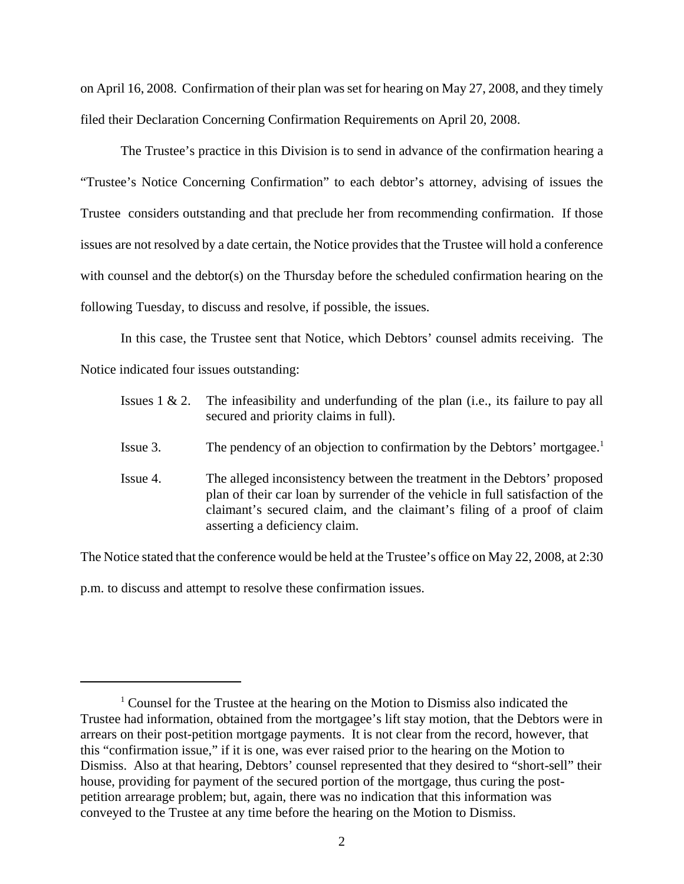on April 16, 2008. Confirmation of their plan was set for hearing on May 27, 2008, and they timely filed their Declaration Concerning Confirmation Requirements on April 20, 2008.

The Trustee's practice in this Division is to send in advance of the confirmation hearing a "Trustee's Notice Concerning Confirmation" to each debtor's attorney, advising of issues the Trustee considers outstanding and that preclude her from recommending confirmation. If those issues are not resolved by a date certain, the Notice provides that the Trustee will hold a conference with counsel and the debtor(s) on the Thursday before the scheduled confirmation hearing on the following Tuesday, to discuss and resolve, if possible, the issues.

In this case, the Trustee sent that Notice, which Debtors' counsel admits receiving. The Notice indicated four issues outstanding:

|          | Issues $1 \& 2$ . The infeasibility and underfunding of the plan (i.e., its failure to pay all<br>secured and priority claims in full).                                                                                                                                |
|----------|------------------------------------------------------------------------------------------------------------------------------------------------------------------------------------------------------------------------------------------------------------------------|
| Issue 3. | The pendency of an objection to confirmation by the Debtors' mortgagee. <sup>1</sup>                                                                                                                                                                                   |
| Issue 4. | The alleged inconsistency between the treatment in the Debtors' proposed<br>plan of their car loan by surrender of the vehicle in full satisfaction of the<br>claimant's secured claim, and the claimant's filing of a proof of claim<br>asserting a deficiency claim. |

The Notice stated that the conference would be held at the Trustee's office on May 22, 2008, at 2:30

p.m. to discuss and attempt to resolve these confirmation issues.

<sup>&</sup>lt;sup>1</sup> Counsel for the Trustee at the hearing on the Motion to Dismiss also indicated the Trustee had information, obtained from the mortgagee's lift stay motion, that the Debtors were in arrears on their post-petition mortgage payments. It is not clear from the record, however, that this "confirmation issue," if it is one, was ever raised prior to the hearing on the Motion to Dismiss. Also at that hearing, Debtors' counsel represented that they desired to "short-sell" their house, providing for payment of the secured portion of the mortgage, thus curing the postpetition arrearage problem; but, again, there was no indication that this information was conveyed to the Trustee at any time before the hearing on the Motion to Dismiss.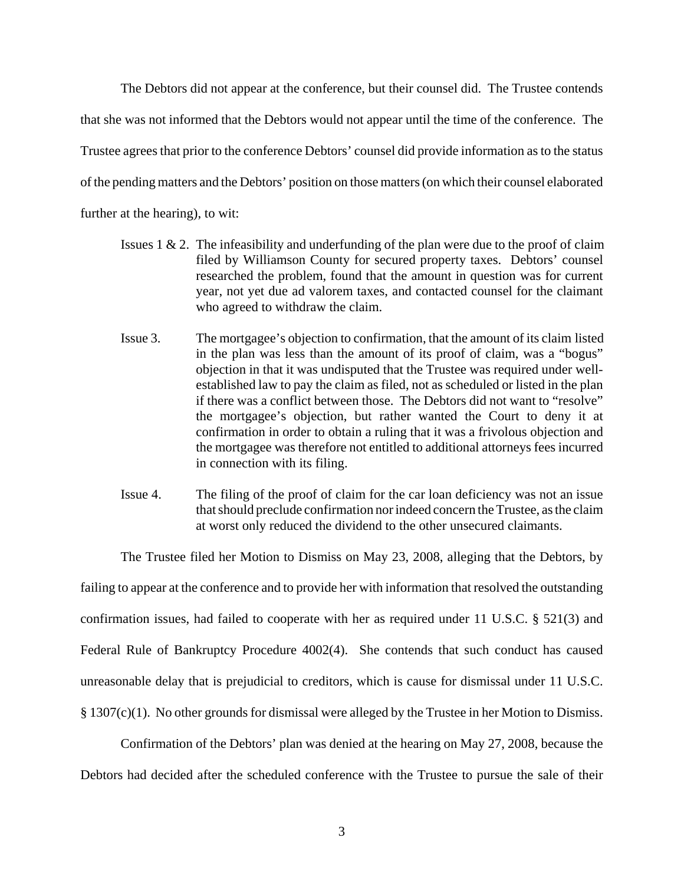The Debtors did not appear at the conference, but their counsel did. The Trustee contends that she was not informed that the Debtors would not appear until the time of the conference. The Trustee agrees that prior to the conference Debtors' counsel did provide information as to the status of the pending matters and the Debtors' position on those matters (on which their counsel elaborated further at the hearing), to wit:

- Issues 1 & 2. The infeasibility and underfunding of the plan were due to the proof of claim filed by Williamson County for secured property taxes. Debtors' counsel researched the problem, found that the amount in question was for current year, not yet due ad valorem taxes, and contacted counsel for the claimant who agreed to withdraw the claim.
- Issue 3. The mortgagee's objection to confirmation, that the amount of its claim listed in the plan was less than the amount of its proof of claim, was a "bogus" objection in that it was undisputed that the Trustee was required under wellestablished law to pay the claim as filed, not as scheduled or listed in the plan if there was a conflict between those. The Debtors did not want to "resolve" the mortgagee's objection, but rather wanted the Court to deny it at confirmation in order to obtain a ruling that it was a frivolous objection and the mortgagee was therefore not entitled to additional attorneys fees incurred in connection with its filing.
- Issue 4. The filing of the proof of claim for the car loan deficiency was not an issue that should preclude confirmation nor indeed concern the Trustee, as the claim at worst only reduced the dividend to the other unsecured claimants.

The Trustee filed her Motion to Dismiss on May 23, 2008, alleging that the Debtors, by

failing to appear at the conference and to provide her with information that resolved the outstanding confirmation issues, had failed to cooperate with her as required under 11 U.S.C. § 521(3) and Federal Rule of Bankruptcy Procedure 4002(4). She contends that such conduct has caused unreasonable delay that is prejudicial to creditors, which is cause for dismissal under 11 U.S.C. § 1307(c)(1). No other grounds for dismissal were alleged by the Trustee in her Motion to Dismiss.

Confirmation of the Debtors' plan was denied at the hearing on May 27, 2008, because the Debtors had decided after the scheduled conference with the Trustee to pursue the sale of their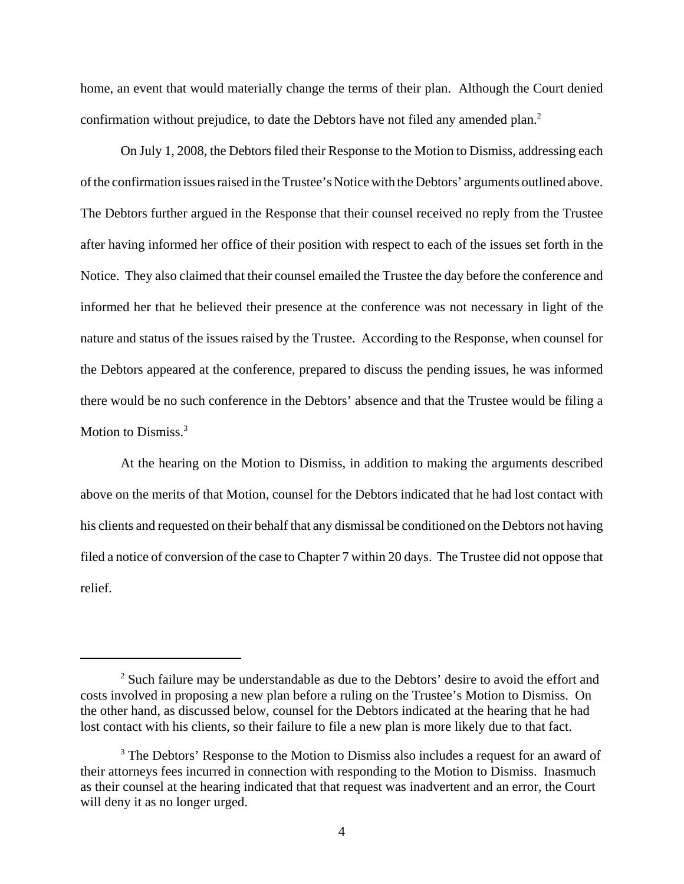home, an event that would materially change the terms of their plan. Although the Court denied confirmation without prejudice, to date the Debtors have not filed any amended plan.<sup>2</sup>

On July 1, 2008, the Debtors filed their Response to the Motion to Dismiss, addressing each of the confirmation issues raised in the Trustee's Notice with the Debtors' arguments outlined above. The Debtors further argued in the Response that their counsel received no reply from the Trustee after having informed her office of their position with respect to each of the issues set forth in the Notice. They also claimed that their counsel emailed the Trustee the day before the conference and informed her that he believed their presence at the conference was not necessary in light of the nature and status of the issues raised by the Trustee. According to the Response, when counsel for the Debtors appeared at the conference, prepared to discuss the pending issues, he was informed there would be no such conference in the Debtors' absence and that the Trustee would be filing a Motion to Dismiss.<sup>3</sup>

At the hearing on the Motion to Dismiss, in addition to making the arguments described above on the merits of that Motion, counsel for the Debtors indicated that he had lost contact with his clients and requested on their behalf that any dismissal be conditioned on the Debtors not having filed a notice of conversion of the case to Chapter 7 within 20 days. The Trustee did not oppose that relief.

 $2^{2}$  Such failure may be understandable as due to the Debtors' desire to avoid the effort and costs involved in proposing a new plan before a ruling on the Trustee's Motion to Dismiss. On the other hand, as discussed below, counsel for the Debtors indicated at the hearing that he had lost contact with his clients, so their failure to file a new plan is more likely due to that fact.

<sup>&</sup>lt;sup>3</sup> The Debtors' Response to the Motion to Dismiss also includes a request for an award of their attorneys fees incurred in connection with responding to the Motion to Dismiss. Inasmuch as their counsel at the hearing indicated that that request was inadvertent and an error, the Court will deny it as no longer urged.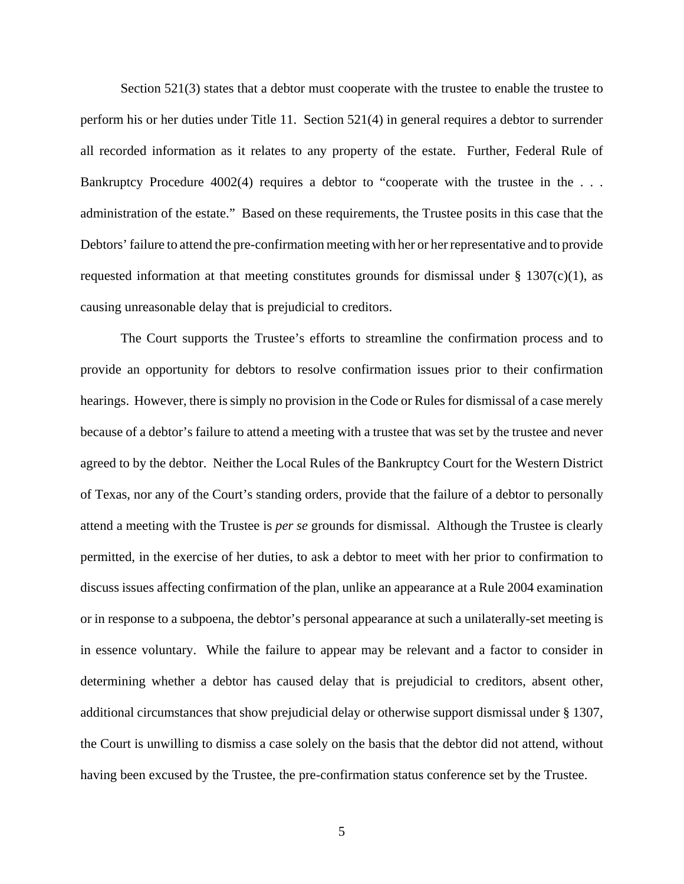Section 521(3) states that a debtor must cooperate with the trustee to enable the trustee to perform his or her duties under Title 11. Section 521(4) in general requires a debtor to surrender all recorded information as it relates to any property of the estate. Further, Federal Rule of Bankruptcy Procedure 4002(4) requires a debtor to "cooperate with the trustee in the ... administration of the estate." Based on these requirements, the Trustee posits in this case that the Debtors' failure to attend the pre-confirmation meeting with her or her representative and to provide requested information at that meeting constitutes grounds for dismissal under  $\S 1307(c)(1)$ , as causing unreasonable delay that is prejudicial to creditors.

The Court supports the Trustee's efforts to streamline the confirmation process and to provide an opportunity for debtors to resolve confirmation issues prior to their confirmation hearings. However, there is simply no provision in the Code or Rules for dismissal of a case merely because of a debtor's failure to attend a meeting with a trustee that was set by the trustee and never agreed to by the debtor. Neither the Local Rules of the Bankruptcy Court for the Western District of Texas, nor any of the Court's standing orders, provide that the failure of a debtor to personally attend a meeting with the Trustee is *per se* grounds for dismissal. Although the Trustee is clearly permitted, in the exercise of her duties, to ask a debtor to meet with her prior to confirmation to discuss issues affecting confirmation of the plan, unlike an appearance at a Rule 2004 examination or in response to a subpoena, the debtor's personal appearance at such a unilaterally-set meeting is in essence voluntary. While the failure to appear may be relevant and a factor to consider in determining whether a debtor has caused delay that is prejudicial to creditors, absent other, additional circumstances that show prejudicial delay or otherwise support dismissal under § 1307, the Court is unwilling to dismiss a case solely on the basis that the debtor did not attend, without having been excused by the Trustee, the pre-confirmation status conference set by the Trustee.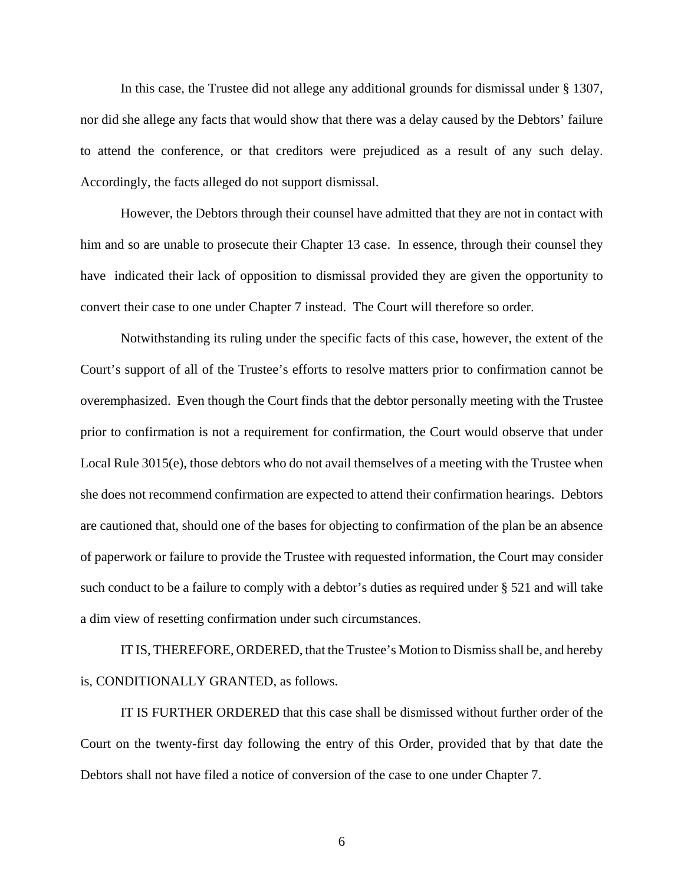In this case, the Trustee did not allege any additional grounds for dismissal under § 1307, nor did she allege any facts that would show that there was a delay caused by the Debtors' failure to attend the conference, or that creditors were prejudiced as a result of any such delay. Accordingly, the facts alleged do not support dismissal.

However, the Debtors through their counsel have admitted that they are not in contact with him and so are unable to prosecute their Chapter 13 case. In essence, through their counsel they have indicated their lack of opposition to dismissal provided they are given the opportunity to convert their case to one under Chapter 7 instead. The Court will therefore so order.

Notwithstanding its ruling under the specific facts of this case, however, the extent of the Court's support of all of the Trustee's efforts to resolve matters prior to confirmation cannot be overemphasized. Even though the Court finds that the debtor personally meeting with the Trustee prior to confirmation is not a requirement for confirmation, the Court would observe that under Local Rule 3015(e), those debtors who do not avail themselves of a meeting with the Trustee when she does not recommend confirmation are expected to attend their confirmation hearings. Debtors are cautioned that, should one of the bases for objecting to confirmation of the plan be an absence of paperwork or failure to provide the Trustee with requested information, the Court may consider such conduct to be a failure to comply with a debtor's duties as required under § 521 and will take a dim view of resetting confirmation under such circumstances.

IT IS, THEREFORE, ORDERED, that the Trustee's Motion to Dismiss shall be, and hereby is, CONDITIONALLY GRANTED, as follows.

IT IS FURTHER ORDERED that this case shall be dismissed without further order of the Court on the twenty-first day following the entry of this Order, provided that by that date the Debtors shall not have filed a notice of conversion of the case to one under Chapter 7.